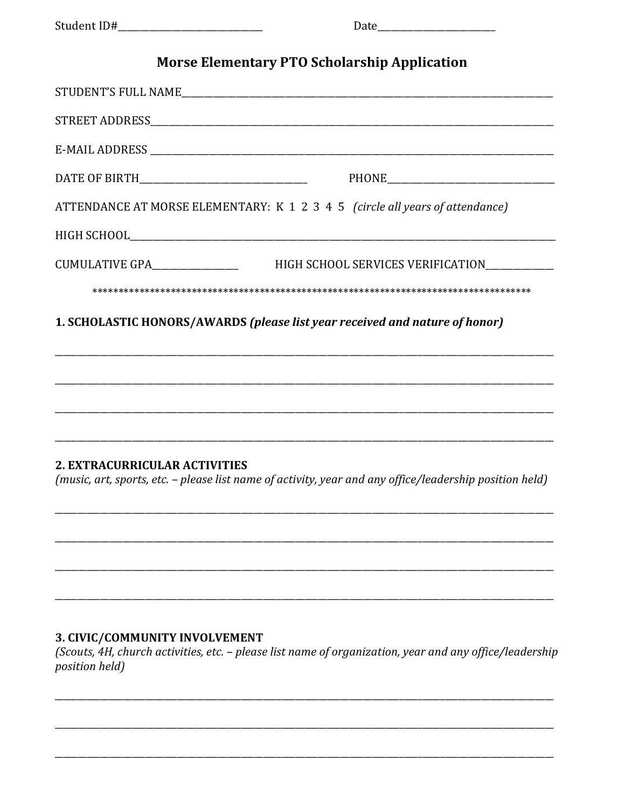## **Morse Elementary PTO Scholarship Application**

|                                                                             | ATTENDANCE AT MORSE ELEMENTARY: K 1 2 3 4 5 (circle all years of attendance)                            |
|-----------------------------------------------------------------------------|---------------------------------------------------------------------------------------------------------|
|                                                                             |                                                                                                         |
| CUMULATIVE GPA________________                                              | HIGH SCHOOL SERVICES VERIFICATION___________                                                            |
|                                                                             |                                                                                                         |
| 1. SCHOLASTIC HONORS/AWARDS (please list year received and nature of honor) |                                                                                                         |
|                                                                             |                                                                                                         |
|                                                                             |                                                                                                         |
|                                                                             |                                                                                                         |
|                                                                             |                                                                                                         |
| <b>2. EXTRACURRICULAR ACTIVITIES</b>                                        |                                                                                                         |
|                                                                             | (music, art, sports, etc. - please list name of activity, year and any office/leadership position held) |
|                                                                             |                                                                                                         |
|                                                                             |                                                                                                         |
|                                                                             |                                                                                                         |
|                                                                             |                                                                                                         |
|                                                                             |                                                                                                         |

## 3. CIVIC/COMMUNITY INVOLVEMENT

(Scouts, 4H, church activities, etc. - please list name of organization, year and any office/leadership *position held*)